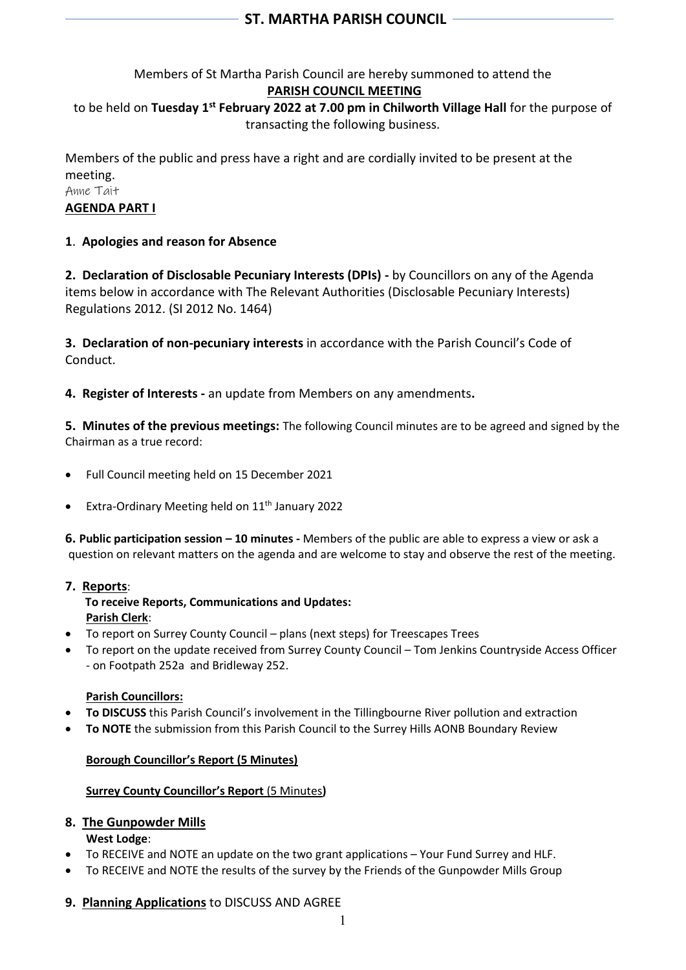# Members of St Martha Parish Council are hereby summoned to attend the **PARISH COUNCIL MEETING** to be held on **Tuesday 1 st February 2022 at 7.00 pm in Chilworth Village Hall** for the purpose of transacting the following business.

Members of the public and press have a right and are cordially invited to be present at the meeting. Anne Tait **AGENDA PART I**

## **1**. **Apologies and reason for Absence**

**2. Declaration of Disclosable Pecuniary Interests (DPIs) -** by Councillors on any of the Agenda items below in accordance with The Relevant Authorities (Disclosable Pecuniary Interests) Regulations 2012. (SI 2012 No. 1464)

**3. Declaration of non-pecuniary interests** in accordance with the Parish Council's Code of Conduct.

**4. Register of Interests -** an update from Members on any amendments**.**

**5. Minutes of the previous meetings:** The following Council minutes are to be agreed and signed by the Chairman as a true record:

- Full Council meeting held on 15 December 2021
- Extra-Ordinary Meeting held on  $11<sup>th</sup>$  January 2022

**6. Public participation session – 10 minutes -** Members of the public are able to express a view or ask a question on relevant matters on the agenda and are welcome to stay and observe the rest of the meeting.

## **7. Reports**:

 **To receive Reports, Communications and Updates: Parish Clerk**:

- To report on Surrey County Council plans (next steps) for Treescapes Trees
- To report on the update received from Surrey County Council Tom Jenkins Countryside Access Officer - on Footpath 252a and Bridleway 252.

### **Parish Councillors:**

- **To DISCUSS** this Parish Council's involvement in the Tillingbourne River pollution and extraction
- **To NOTE** the submission from this Parish Council to the Surrey Hills AONB Boundary Review

### **Borough Councillor's Report (5 Minutes)**

### **Surrey County Councillor's Report** (5 Minutes**)**

### **8. The Gunpowder Mills**

**West Lodge**:

- To RECEIVE and NOTE an update on the two grant applications Your Fund Surrey and HLF.
- To RECEIVE and NOTE the results of the survey by the Friends of the Gunpowder Mills Group

### **9. Planning Applications** to DISCUSS AND AGREE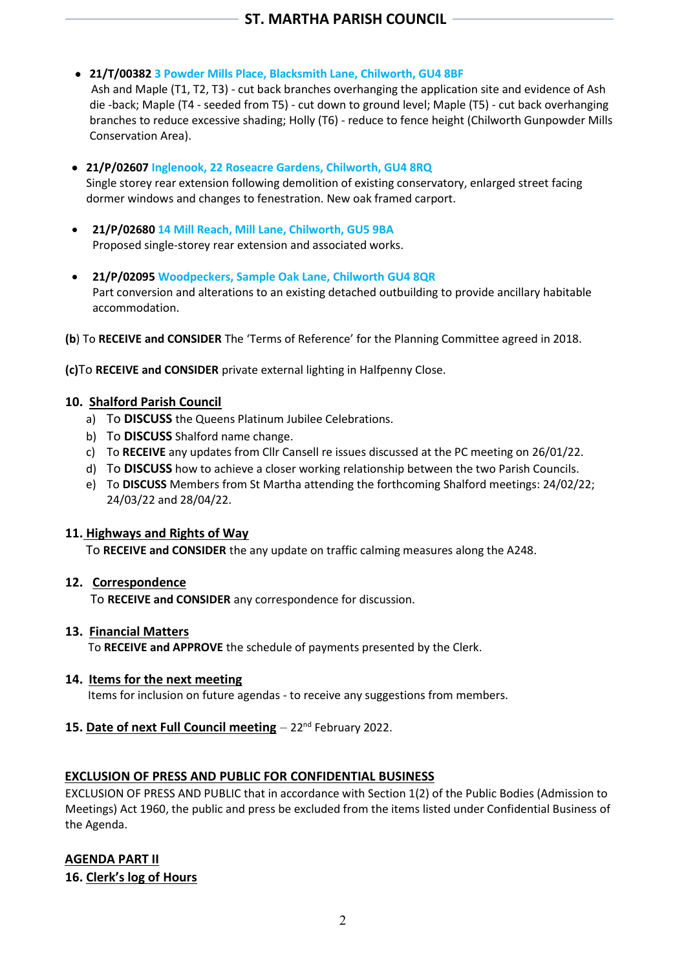### • **21/T/00382 3 Powder Mills Place, Blacksmith Lane, Chilworth, GU4 8BF**

 Ash and Maple (T1, T2, T3) - cut back branches overhanging the application site and evidence of Ash die -back; Maple (T4 - seeded from T5) - cut down to ground level; Maple (T5) - cut back overhanging branches to reduce excessive shading; Holly (T6) - reduce to fence height (Chilworth Gunpowder Mills Conservation Area).

- • **21/P/02607 Inglenook, 22 Roseacre Gardens, Chilworth, GU4 8RQ** Single storey rear extension following demolition of existing conservatory, enlarged street facing dormer windows and changes to fenestration. New oak framed carport.
- **21/P/02680 14 Mill Reach, Mill Lane, Chilworth, GU5 9BA** Proposed single-storey rear extension and associated works.
- **21/P/02095 Woodpeckers, Sample Oak Lane, Chilworth GU4 8QR** Part conversion and alterations to an existing detached outbuilding to provide ancillary habitable accommodation.
- **(b**) To **RECEIVE and CONSIDER** The 'Terms of Reference' for the Planning Committee agreed in 2018.

**(c)**To **RECEIVE and CONSIDER** private external lighting in Halfpenny Close.

### **10. Shalford Parish Council**

- a) To **DISCUSS** the Queens Platinum Jubilee Celebrations.
- b) To **DISCUSS** Shalford name change.
- c) To **RECEIVE** any updates from Cllr Cansell re issues discussed at the PC meeting on 26/01/22.
- d) To **DISCUSS** how to achieve a closer working relationship between the two Parish Councils.
- e) To **DISCUSS** Members from St Martha attending the forthcoming Shalford meetings: 24/02/22; 24/03/22 and 28/04/22.

### **11. Highways and Rights of Way**

To **RECEIVE and CONSIDER** the any update on traffic calming measures along the A248.

### **12. Correspondence**

To **RECEIVE and CONSIDER** any correspondence for discussion.

### **13. Financial Matters**

To **RECEIVE and APPROVE** the schedule of payments presented by the Clerk.

### **14. Items for the next meeting**

Items for inclusion on future agendas - to receive any suggestions from members.

### **15. Date of next Full Council meeting** – 22<sup>nd</sup> February 2022.

### **EXCLUSION OF PRESS AND PUBLIC FOR CONFIDENTIAL BUSINESS**

EXCLUSION OF PRESS AND PUBLIC that in accordance with Section 1(2) of the Public Bodies (Admission to Meetings) Act 1960, the public and press be excluded from the items listed under Confidential Business of the Agenda.

## **AGENDA PART II**

**16. Clerk's log of Hours**